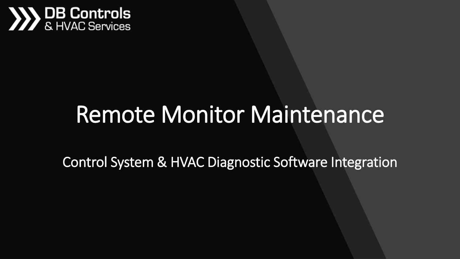

### Remote Monitor Maintenance

Control System & HVAC Diagnostic Software Integration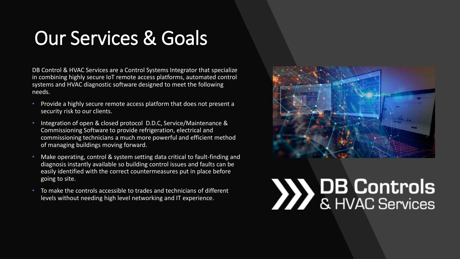#### Our Services & Goals

DB Control & HVAC Services are a Control Systems Integrator that specialize in combining highly secure IoT remote access platforms, automated control systems and HVAC diagnostic software designed to meet the following needs.

- Provide a highly secure remote access platform that does not present a security risk to our clients.
- Integration of open & closed protocol D.D.C, Service/Maintenance & Commissioning Software to provide refrigeration, electrical and commissioning technicians a much more powerful and efficient method of managing buildings moving forward.
- Make operating, control & system setting data critical to fault-finding and diagnosis instantly available so building control issues and faults can be easily identified with the correct countermeasures put in place before going to site.
- To make the controls accessible to trades and technicians of different levels without needing high level networking and IT experience.

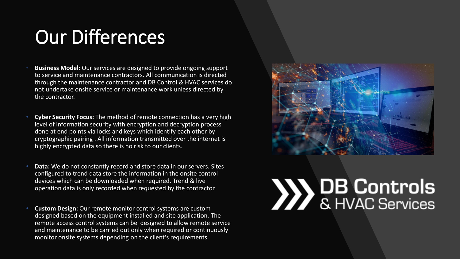#### Our Differences

- **Business Model:** Our services are designed to provide ongoing support to service and maintenance contractors. All communication is directed through the maintenance contractor and DB Control & HVAC services do not undertake onsite service or maintenance work unless directed by the contractor.
- **Cyber Security Focus:** The method of remote connection has a very high level of information security with encryption and decryption process done at end points via locks and keys which identify each other by cryptographic pairing . All information transmitted over the internet is highly encrypted data so there is no risk to our clients.
- **Data:** We do not constantly record and store data in our servers. Sites configured to trend data store the information in the onsite control devices which can be downloaded when required. Trend & live operation data is only recorded when requested by the contractor.
- **Custom Design:** Our remote monitor control systems are custom designed based on the equipment installed and site application. The remote access control systems can be designed to allow remote service and maintenance to be carried out only when required or continuously monitor onsite systems depending on the client's requirements.

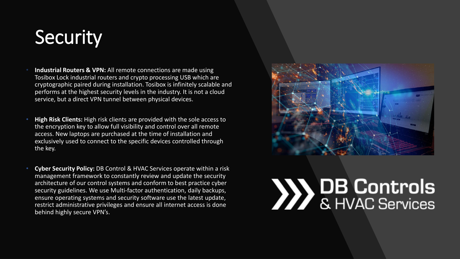#### **Security**

- **Industrial Routers & VPN:** All remote connections are made using Tosibox Lock industrial routers and crypto processing USB which are cryptographic paired during installation. Tosibox is infinitely scalable and performs at the highest security levels in the industry. It is not a cloud service, but a direct VPN tunnel between physical devices.
- **High Risk Clients:** High risk clients are provided with the sole access to the encryption key to allow full visibility and control over all remote access. New laptops are purchased at the time of installation and exclusively used to connect to the specific devices controlled through the key.
- **Cyber Security Policy:** DB Control & HVAC Services operate within a risk management framework to constantly review and update the security architecture of our control systems and conform to best practice cyber security guidelines. We use Multi-factor authentication, daily backups, ensure operating systems and security software use the latest update, restrict administrative privileges and ensure all internet access is done behind highly secure VPN's.

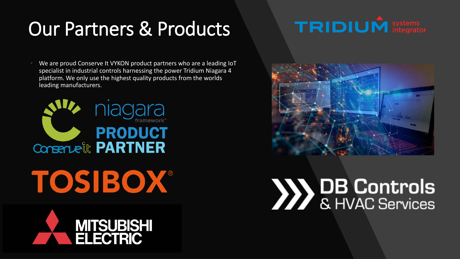#### Our Partners & Products



We are proud Conserve It VYKON product partners who are a leading IoT specialist in industrial controls harnessing the power Tridium Niagara 4 platform. We only use the highest quality products from the worlds leading manufacturers.